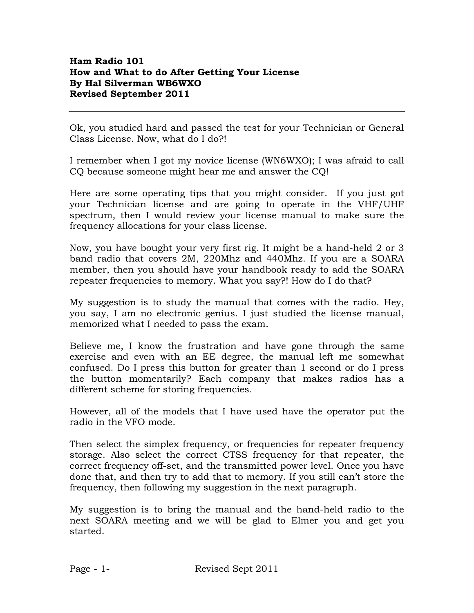## Ham Radio 101 How and What to do After Getting Your License By Hal Silverman WB6WXO Revised September 2011

Ok, you studied hard and passed the test for your Technician or General Class License. Now, what do I do?!

I remember when I got my novice license (WN6WXO); I was afraid to call CQ because someone might hear me and answer the CQ!

Here are some operating tips that you might consider. If you just got your Technician license and are going to operate in the VHF/UHF spectrum, then I would review your license manual to make sure the frequency allocations for your class license.

Now, you have bought your very first rig. It might be a hand-held 2 or 3 band radio that covers 2M, 220Mhz and 440Mhz. If you are a SOARA member, then you should have your handbook ready to add the SOARA repeater frequencies to memory. What you say?! How do I do that?

My suggestion is to study the manual that comes with the radio. Hey, you say, I am no electronic genius. I just studied the license manual, memorized what I needed to pass the exam.

Believe me, I know the frustration and have gone through the same exercise and even with an EE degree, the manual left me somewhat confused. Do I press this button for greater than 1 second or do I press the button momentarily? Each company that makes radios has a different scheme for storing frequencies.

However, all of the models that I have used have the operator put the radio in the VFO mode.

Then select the simplex frequency, or frequencies for repeater frequency storage. Also select the correct CTSS frequency for that repeater, the correct frequency off-set, and the transmitted power level. Once you have done that, and then try to add that to memory. If you still can't store the frequency, then following my suggestion in the next paragraph.

My suggestion is to bring the manual and the hand-held radio to the next SOARA meeting and we will be glad to Elmer you and get you started.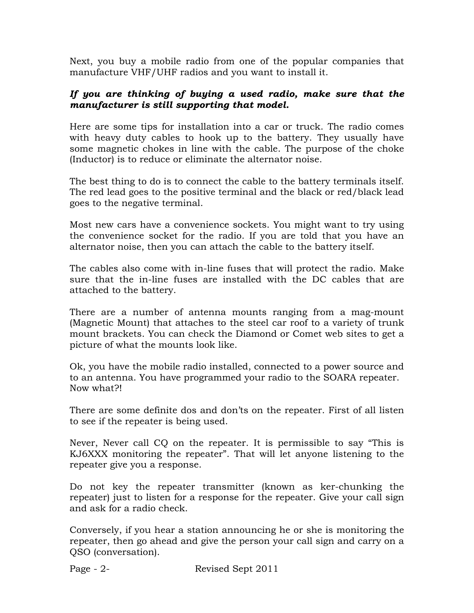Next, you buy a mobile radio from one of the popular companies that manufacture VHF/UHF radios and you want to install it.

## If you are thinking of buying a used radio, make sure that the manufacturer is still supporting that model.

Here are some tips for installation into a car or truck. The radio comes with heavy duty cables to hook up to the battery. They usually have some magnetic chokes in line with the cable. The purpose of the choke (Inductor) is to reduce or eliminate the alternator noise.

The best thing to do is to connect the cable to the battery terminals itself. The red lead goes to the positive terminal and the black or red/black lead goes to the negative terminal.

Most new cars have a convenience sockets. You might want to try using the convenience socket for the radio. If you are told that you have an alternator noise, then you can attach the cable to the battery itself.

The cables also come with in-line fuses that will protect the radio. Make sure that the in-line fuses are installed with the DC cables that are attached to the battery.

There are a number of antenna mounts ranging from a mag-mount (Magnetic Mount) that attaches to the steel car roof to a variety of trunk mount brackets. You can check the Diamond or Comet web sites to get a picture of what the mounts look like.

Ok, you have the mobile radio installed, connected to a power source and to an antenna. You have programmed your radio to the SOARA repeater. Now what?!

There are some definite dos and don'ts on the repeater. First of all listen to see if the repeater is being used.

Never, Never call CQ on the repeater. It is permissible to say "This is KJ6XXX monitoring the repeater". That will let anyone listening to the repeater give you a response.

Do not key the repeater transmitter (known as ker-chunking the repeater) just to listen for a response for the repeater. Give your call sign and ask for a radio check.

Conversely, if you hear a station announcing he or she is monitoring the repeater, then go ahead and give the person your call sign and carry on a QSO (conversation).

Page - 2- Revised Sept 2011